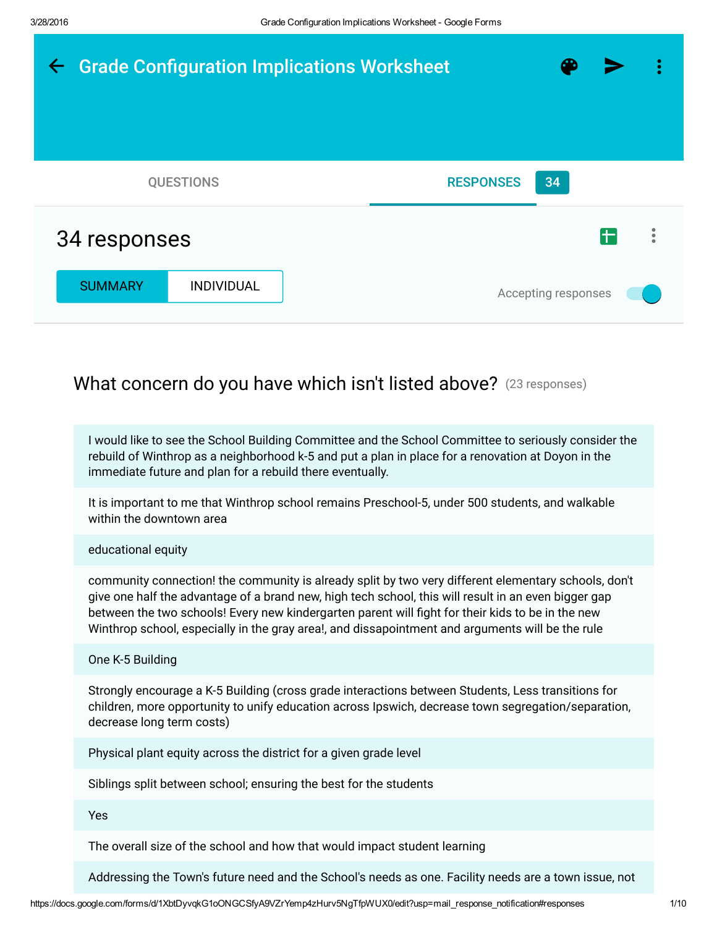

I would like to see the School Building Committee and the School Committee to seriously consider the rebuild of Winthrop as a neighborhood k-5 and put a plan in place for a renovation at Doyon in the immediate future and plan for a rebuild there eventually.

It is important to me that Winthrop school remains Preschool-5, under 500 students, and walkable within the downtown area

educational equity

community connection! the community is already split by two very different elementary schools, don't give one half the advantage of a brand new, high tech school, this will result in an even bigger gap between the two schools! Every new kindergarten parent will fight for their kids to be in the new Winthrop school, especially in the gray area!, and dissapointment and arguments will be the rule

One K-5 Building

Strongly encourage a K-5 Building (cross grade interactions between Students, Less transitions for children, more opportunity to unify education across Ipswich, decrease town segregation/separation, decrease long term costs)

Physical plant equity across the district for a given grade level

Siblings split between school; ensuring the best for the students

Yes

The overall size of the school and how that would impact student learning

Addressing the Town's future need and the School's needs as one. Facility needs are a town issue, not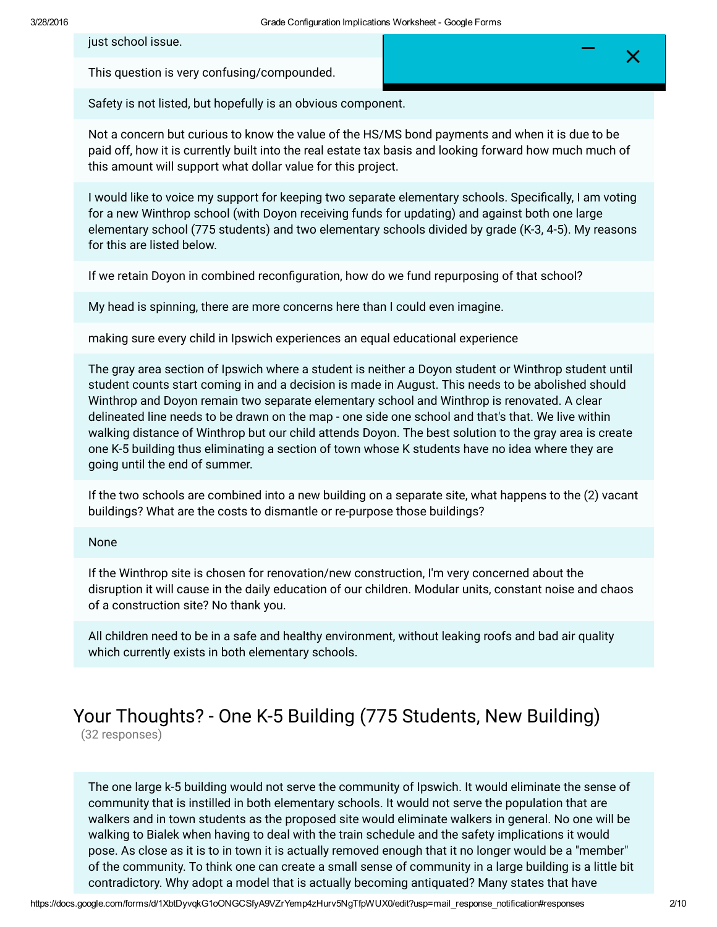just school issue.

This question is very confusing/compounded.

Safety is not listed, but hopefully is an obvious component.

Not a concern but curious to know the value of the HS/MS bond payments and when it is due to be paid off, how it is currently built into the real estate tax basis and looking forward how much much of this amount will support what dollar value for this project.

I would like to voice my support for keeping two separate elementary schools. Specifically, I am voting for a new Winthrop school (with Doyon receiving funds for updating) and against both one large elementary school (775 students) and two elementary schools divided by grade (K-3, 4-5). My reasons for this are listed below.

If we retain Doyon in combined reconfiguration, how do we fund repurposing of that school?

My head is spinning, there are more concerns here than I could even imagine.

making sure every child in Ipswich experiences an equal educational experience

The gray area section of Ipswich where a student is neither a Doyon student or Winthrop student until student counts start coming in and a decision is made in August. This needs to be abolished should Winthrop and Doyon remain two separate elementary school and Winthrop is renovated. A clear delineated line needs to be drawn on the map - one side one school and that's that. We live within walking distance of Winthrop but our child attends Doyon. The best solution to the gray area is create one K-5 building thus eliminating a section of town whose K students have no idea where they are going until the end of summer.

If the two schools are combined into a new building on a separate site, what happens to the (2) vacant buildings? What are the costs to dismantle or re-purpose those buildings?

#### None

If the Winthrop site is chosen for renovation/new construction, I'm very concerned about the disruption it will cause in the daily education of our children. Modular units, constant noise and chaos of a construction site? No thank you.

All children need to be in a safe and healthy environment, without leaking roofs and bad air quality which currently exists in both elementary schools.

# Your Thoughts? - One K-5 Building (775 Students, New Building)

(32 responses)

The one large k-5 building would not serve the community of Ipswich. It would eliminate the sense of community that is instilled in both elementary schools. It would not serve the population that are walkers and in town students as the proposed site would eliminate walkers in general. No one will be walking to Bialek when having to deal with the train schedule and the safety implications it would pose. As close as it is to in town it is actually removed enough that it no longer would be a "member" of the community. To think one can create a small sense of community in a large building is a little bit contradictory. Why adopt a model that is actually becoming antiquated? Many states that have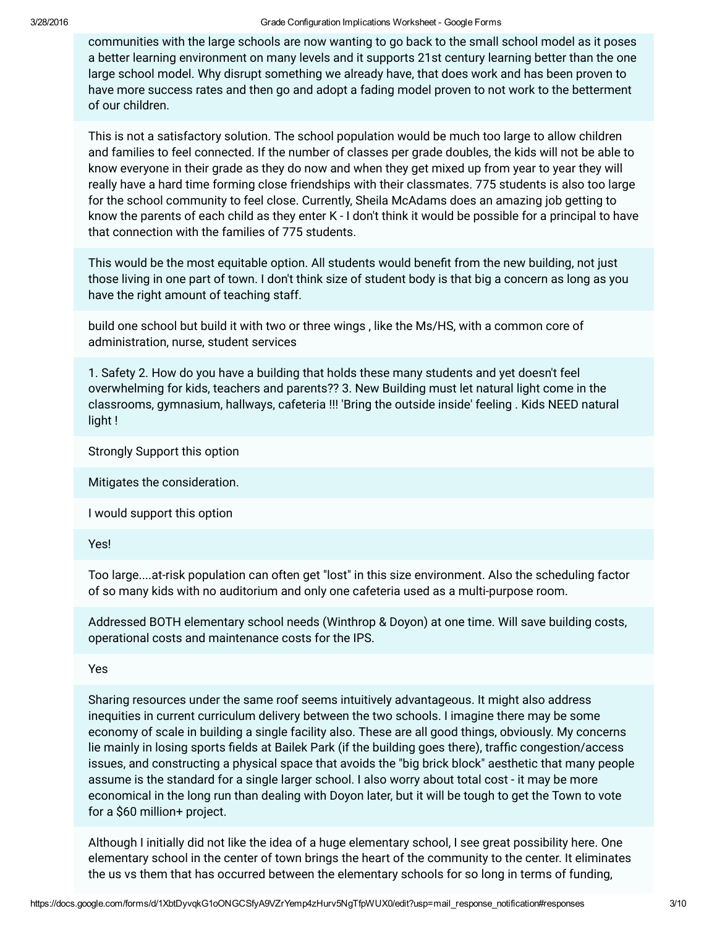communities with the large schools are now wanting to go back to the small school model as it poses a better learning environment on many levels and it supports 21st century learning better than the one large school model. Why disrupt something we already have, that does work and has been proven to have more success rates and then go and adopt a fading model proven to not work to the betterment of our children.

This is not a satisfactory solution. The school population would be much too large to allow children and families to feel connected. If the number of classes per grade doubles, the kids will not be able to know everyone in their grade as they do now and when they get mixed up from year to year they will really have a hard time forming close friendships with their classmates. 775 students is also too large for the school community to feel close. Currently, Sheila McAdams does an amazing job getting to know the parents of each child as they enter K - I don't think it would be possible for a principal to have that connection with the families of 775 students.

This would be the most equitable option. All students would benefit from the new building, not just those living in one part of town. I don't think size of student body is that big a concern as long as you have the right amount of teaching staff.

build one school but build it with two or three wings , like the Ms/HS, with a common core of administration, nurse, student services

1. Safety 2. How do you have a building that holds these many students and yet doesn't feel overwhelming for kids, teachers and parents?? 3. New Building must let natural light come in the classrooms, gymnasium, hallways, cafeteria !!! 'Bring the outside inside' feeling . Kids NEED natural light !

Strongly Support this option

Mitigates the consideration.

I would support this option

Yes!

Too large....at-risk population can often get "lost" in this size environment. Also the scheduling factor of so many kids with no auditorium and only one cafeteria used as a multi-purpose room.

Addressed BOTH elementary school needs (Winthrop & Doyon) at one time. Will save building costs, operational costs and maintenance costs for the IPS.

Yes

Sharing resources under the same roof seems intuitively advantageous. It might also address inequities in current curriculum delivery between the two schools. I imagine there may be some economy of scale in building a single facility also. These are all good things, obviously. My concerns lie mainly in losing sports fields at Bailek Park (if the building goes there), traffic congestion/access issues, and constructing a physical space that avoids the "big brick block" aesthetic that many people assume is the standard for a single larger school. I also worry about total cost - it may be more economical in the long run than dealing with Doyon later, but it will be tough to get the Town to vote for a \$60 million+ project.

Although I initially did not like the idea of a huge elementary school, I see great possibility here. One elementary school in the center of town brings the heart of the community to the center. It eliminates the us vs them that has occurred between the elementary schools for so long in terms of funding,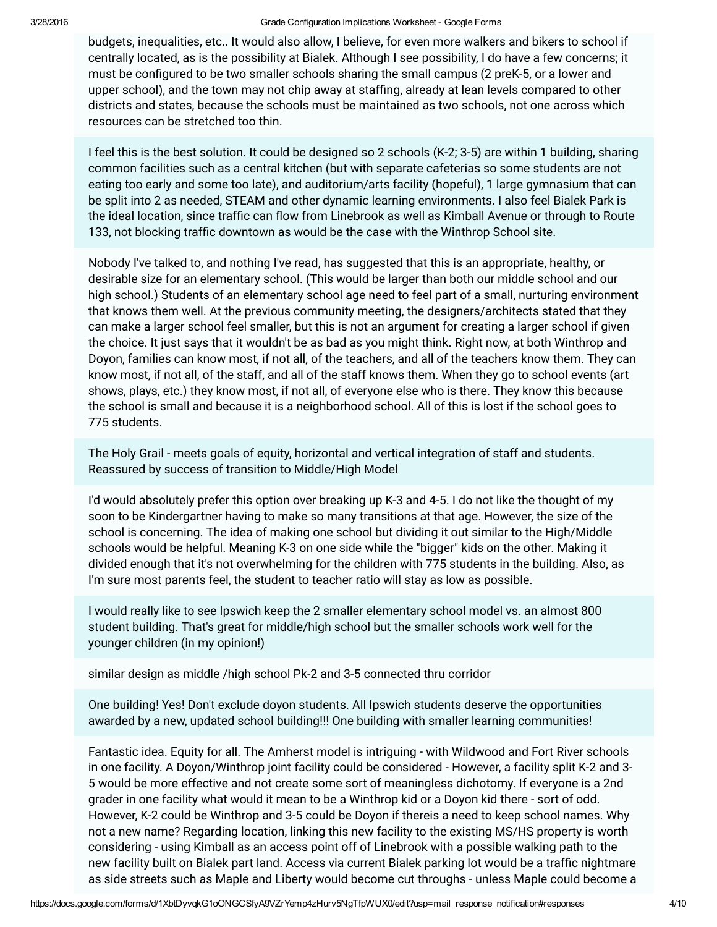budgets, inequalities, etc.. It would also allow, I believe, for even more walkers and bikers to school if centrally located, as is the possibility at Bialek. Although I see possibility, I do have a few concerns; it must be configured to be two smaller schools sharing the small campus (2 preK-5, or a lower and upper school), and the town may not chip away at staffing, already at lean levels compared to other districts and states, because the schools must be maintained as two schools, not one across which resources can be stretched too thin.

I feel this is the best solution. It could be designed so 2 schools (K-2; 3-5) are within 1 building, sharing common facilities such as a central kitchen (but with separate cafeterias so some students are not eating too early and some too late), and auditorium/arts facility (hopeful), 1 large gymnasium that can be split into 2 as needed, STEAM and other dynamic learning environments. I also feel Bialek Park is the ideal location, since traffic can flow from Linebrook as well as Kimball Avenue or through to Route 133, not blocking traffic downtown as would be the case with the Winthrop School site.

Nobody I've talked to, and nothing I've read, has suggested that this is an appropriate, healthy, or desirable size for an elementary school. (This would be larger than both our middle school and our high school.) Students of an elementary school age need to feel part of a small, nurturing environment that knows them well. At the previous community meeting, the designers/architects stated that they can make a larger school feel smaller, but this is not an argument for creating a larger school if given the choice. It just says that it wouldn't be as bad as you might think. Right now, at both Winthrop and Doyon, families can know most, if not all, of the teachers, and all of the teachers know them. They can know most, if not all, of the staff, and all of the staff knows them. When they go to school events (art shows, plays, etc.) they know most, if not all, of everyone else who is there. They know this because the school is small and because it is a neighborhood school. All of this is lost if the school goes to 775 students.

The Holy Grail - meets goals of equity, horizontal and vertical integration of staff and students. Reassured by success of transition to Middle/High Model

I'd would absolutely prefer this option over breaking up K-3 and 4-5. I do not like the thought of my soon to be Kindergartner having to make so many transitions at that age. However, the size of the school is concerning. The idea of making one school but dividing it out similar to the High/Middle schools would be helpful. Meaning K-3 on one side while the "bigger" kids on the other. Making it divided enough that it's not overwhelming for the children with 775 students in the building. Also, as I'm sure most parents feel, the student to teacher ratio will stay as low as possible.

I would really like to see Ipswich keep the 2 smaller elementary school model vs. an almost 800 student building. That's great for middle/high school but the smaller schools work well for the younger children (in my opinion!)

similar design as middle /high school Pk-2 and 3-5 connected thru corridor

One building! Yes! Don't exclude doyon students. All Ipswich students deserve the opportunities awarded by a new, updated school building!!! One building with smaller learning communities!

Fantastic idea. Equity for all. The Amherst model is intriguing - with Wildwood and Fort River schools in one facility. A Doyon/Winthrop joint facility could be considered - However, a facility split K-2 and 3- 5 would be more effective and not create some sort of meaningless dichotomy. If everyone is a 2nd grader in one facility what would it mean to be a Winthrop kid or a Doyon kid there - sort of odd. However, K-2 could be Winthrop and 3-5 could be Doyon if thereis a need to keep school names. Why not a new name? Regarding location, linking this new facility to the existing MS/HS property is worth considering - using Kimball as an access point off of Linebrook with a possible walking path to the new facility built on Bialek part land. Access via current Bialek parking lot would be a traffic nightmare as side streets such as Maple and Liberty would become cut throughs - unless Maple could become a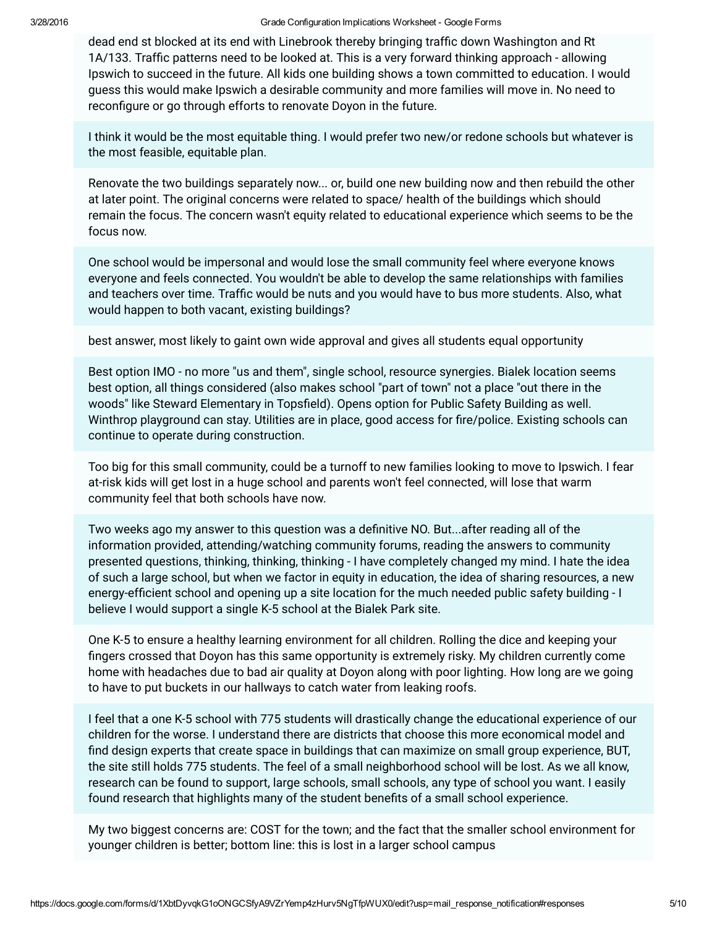dead end st blocked at its end with Linebrook thereby bringing traffic down Washington and Rt 1A/133. Traffic patterns need to be looked at. This is a very forward thinking approach - allowing Ipswich to succeed in the future. All kids one building shows a town committed to education. I would guess this would make Ipswich a desirable community and more families will move in. No need to reconfigure or go through efforts to renovate Doyon in the future.

I think it would be the most equitable thing. I would prefer two new/or redone schools but whatever is the most feasible, equitable plan.

Renovate the two buildings separately now... or, build one new building now and then rebuild the other at later point. The original concerns were related to space/ health of the buildings which should remain the focus. The concern wasn't equity related to educational experience which seems to be the focus now.

One school would be impersonal and would lose the small community feel where everyone knows everyone and feels connected. You wouldn't be able to develop the same relationships with families and teachers over time. Traffic would be nuts and you would have to bus more students. Also, what would happen to both vacant, existing buildings?

best answer, most likely to gaint own wide approval and gives all students equal opportunity

Best option IMO - no more "us and them", single school, resource synergies. Bialek location seems best option, all things considered (also makes school "part of town" not a place "out there in the woods" like Steward Elementary in Topsfield). Opens option for Public Safety Building as well. Winthrop playground can stay. Utilities are in place, good access for fire/police. Existing schools can continue to operate during construction.

Too big for this small community, could be a turnoff to new families looking to move to Ipswich. I fear at-risk kids will get lost in a huge school and parents won't feel connected, will lose that warm community feel that both schools have now.

Two weeks ago my answer to this question was a definitive NO. But...after reading all of the information provided, attending/watching community forums, reading the answers to community presented questions, thinking, thinking, thinking - I have completely changed my mind. I hate the idea of such a large school, but when we factor in equity in education, the idea of sharing resources, a new energy-efficient school and opening up a site location for the much needed public safety building - I believe I would support a single K-5 school at the Bialek Park site.

One K-5 to ensure a healthy learning environment for all children. Rolling the dice and keeping your fingers crossed that Doyon has this same opportunity is extremely risky. My children currently come home with headaches due to bad air quality at Doyon along with poor lighting. How long are we going to have to put buckets in our hallways to catch water from leaking roofs.

I feel that a one K-5 school with 775 students will drastically change the educational experience of our children for the worse. I understand there are districts that choose this more economical model and find design experts that create space in buildings that can maximize on small group experience, BUT, the site still holds 775 students. The feel of a small neighborhood school will be lost. As we all know, research can be found to support, large schools, small schools, any type of school you want. I easily found research that highlights many of the student benefits of a small school experience.

My two biggest concerns are: COST for the town; and the fact that the smaller school environment for younger children is better; bottom line: this is lost in a larger school campus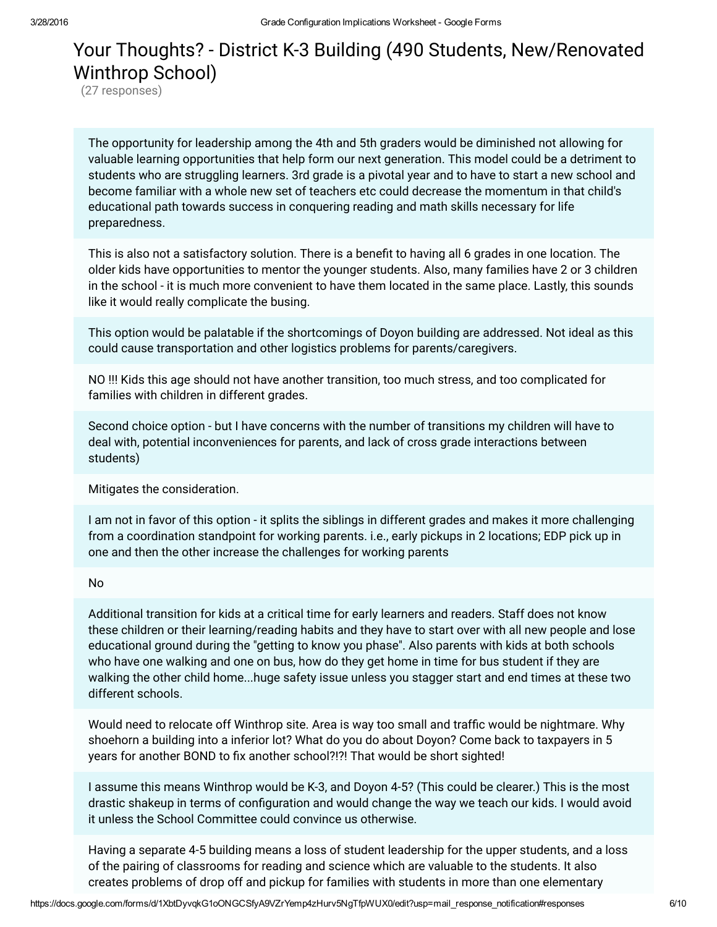## Your Thoughts? - District K-3 Building (490 Students, New/Renovated Winthrop School)

(27 responses)

The opportunity for leadership among the 4th and 5th graders would be diminished not allowing for valuable learning opportunities that help form our next generation. This model could be a detriment to students who are struggling learners. 3rd grade is a pivotal year and to have to start a new school and become familiar with a whole new set of teachers etc could decrease the momentum in that child's educational path towards success in conquering reading and math skills necessary for life preparedness.

This is also not a satisfactory solution. There is a benefit to having all 6 grades in one location. The older kids have opportunities to mentor the younger students. Also, many families have 2 or 3 children in the school - it is much more convenient to have them located in the same place. Lastly, this sounds like it would really complicate the busing.

This option would be palatable if the shortcomings of Doyon building are addressed. Not ideal as this could cause transportation and other logistics problems for parents/caregivers.

NO !!! Kids this age should not have another transition, too much stress, and too complicated for families with children in different grades.

Second choice option - but I have concerns with the number of transitions my children will have to deal with, potential inconveniences for parents, and lack of cross grade interactions between students)

Mitigates the consideration.

I am not in favor of this option - it splits the siblings in different grades and makes it more challenging from a coordination standpoint for working parents. i.e., early pickups in 2 locations; EDP pick up in one and then the other increase the challenges for working parents

### No

Additional transition for kids at a critical time for early learners and readers. Staff does not know these children or their learning/reading habits and they have to start over with all new people and lose educational ground during the "getting to know you phase". Also parents with kids at both schools who have one walking and one on bus, how do they get home in time for bus student if they are walking the other child home...huge safety issue unless you stagger start and end times at these two different schools.

Would need to relocate off Winthrop site. Area is way too small and traffic would be nightmare. Why shoehorn a building into a inferior lot? What do you do about Doyon? Come back to taxpayers in 5 years for another BOND to fix another school?!?! That would be short sighted!

I assume this means Winthrop would be K-3, and Doyon 4-5? (This could be clearer.) This is the most drastic shakeup in terms of configuration and would change the way we teach our kids. I would avoid it unless the School Committee could convince us otherwise.

Having a separate 4-5 building means a loss of student leadership for the upper students, and a loss of the pairing of classrooms for reading and science which are valuable to the students. It also creates problems of drop off and pickup for families with students in more than one elementary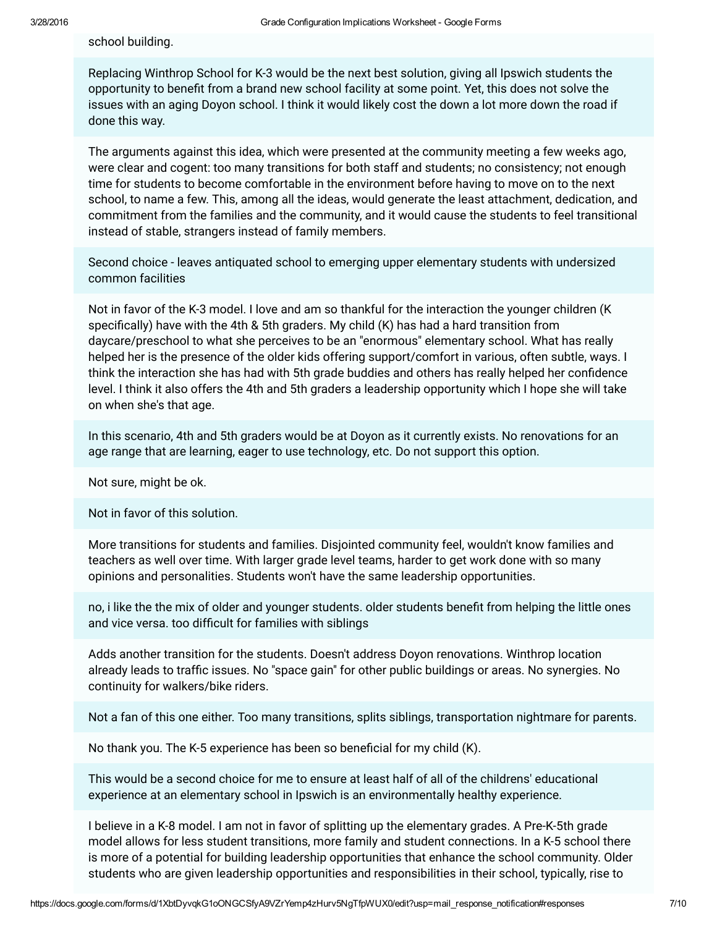school building.

Replacing Winthrop School for K-3 would be the next best solution, giving all Ipswich students the opportunity to benefit from a brand new school facility at some point. Yet, this does not solve the issues with an aging Doyon school. I think it would likely cost the down a lot more down the road if done this way.

The arguments against this idea, which were presented at the community meeting a few weeks ago, were clear and cogent: too many transitions for both staff and students; no consistency; not enough time for students to become comfortable in the environment before having to move on to the next school, to name a few. This, among all the ideas, would generate the least attachment, dedication, and commitment from the families and the community, and it would cause the students to feel transitional instead of stable, strangers instead of family members.

Second choice - leaves antiquated school to emerging upper elementary students with undersized common facilities

Not in favor of the K-3 model. I love and am so thankful for the interaction the younger children (K specifically) have with the 4th & 5th graders. My child  $(K)$  has had a hard transition from daycare/preschool to what she perceives to be an "enormous" elementary school. What has really helped her is the presence of the older kids offering support/comfort in various, often subtle, ways. I think the interaction she has had with 5th grade buddies and others has really helped her confidence level. I think it also offers the 4th and 5th graders a leadership opportunity which I hope she will take on when she's that age.

In this scenario, 4th and 5th graders would be at Doyon as it currently exists. No renovations for an age range that are learning, eager to use technology, etc. Do not support this option.

Not sure, might be ok.

Not in favor of this solution.

More transitions for students and families. Disjointed community feel, wouldn't know families and teachers as well over time. With larger grade level teams, harder to get work done with so many opinions and personalities. Students won't have the same leadership opportunities.

no, i like the the mix of older and younger students. older students benefit from helping the little ones and vice versa. too difficult for families with siblings

Adds another transition for the students. Doesn't address Doyon renovations. Winthrop location already leads to traffic issues. No "space gain" for other public buildings or areas. No synergies. No continuity for walkers/bike riders.

Not a fan of this one either. Too many transitions, splits siblings, transportation nightmare for parents.

No thank you. The K-5 experience has been so beneficial for my child  $(K)$ .

This would be a second choice for me to ensure at least half of all of the childrens' educational experience at an elementary school in Ipswich is an environmentally healthy experience.

I believe in a K-8 model. I am not in favor of splitting up the elementary grades. A Pre-K-5th grade model allows for less student transitions, more family and student connections. In a K-5 school there is more of a potential for building leadership opportunities that enhance the school community. Older students who are given leadership opportunities and responsibilities in their school, typically, rise to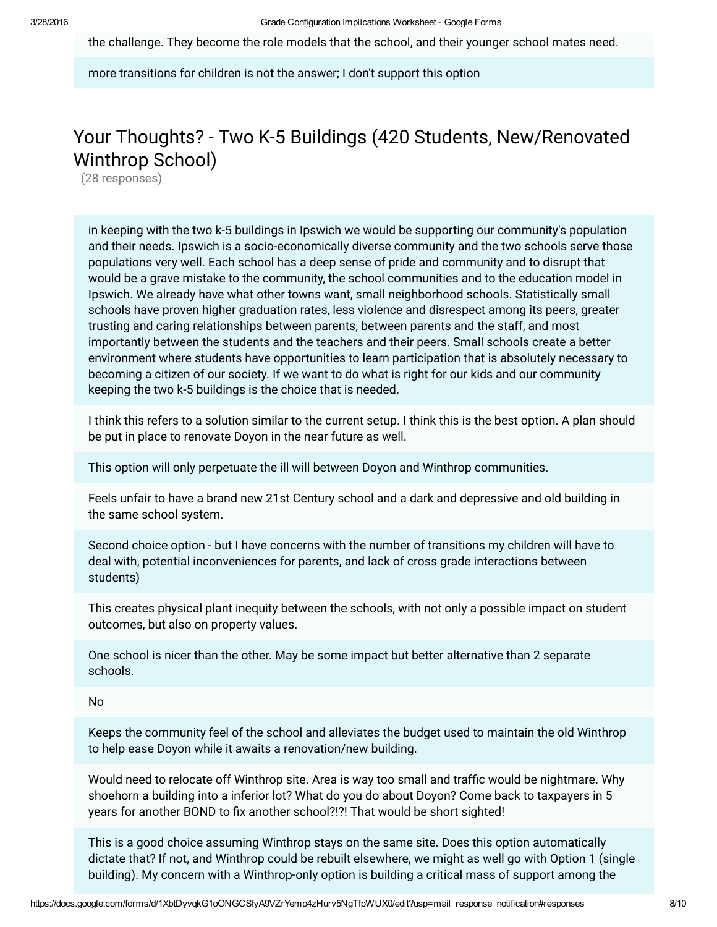the challenge. They become the role models that the school, and their younger school mates need.

more transitions for children is not the answer; I don't support this option

## Your Thoughts? - Two K-5 Buildings (420 Students, New/Renovated Winthrop School)

(28 responses)

in keeping with the two k-5 buildings in Ipswich we would be supporting our community's population and their needs. Ipswich is a socio-economically diverse community and the two schools serve those populations very well. Each school has a deep sense of pride and community and to disrupt that would be a grave mistake to the community, the school communities and to the education model in Ipswich. We already have what other towns want, small neighborhood schools. Statistically small schools have proven higher graduation rates, less violence and disrespect among its peers, greater trusting and caring relationships between parents, between parents and the staff, and most importantly between the students and the teachers and their peers. Small schools create a better environment where students have opportunities to learn participation that is absolutely necessary to becoming a citizen of our society. If we want to do what is right for our kids and our community keeping the two k-5 buildings is the choice that is needed.

I think this refers to a solution similar to the current setup. I think this is the best option. A plan should be put in place to renovate Doyon in the near future as well.

This option will only perpetuate the ill will between Doyon and Winthrop communities.

Feels unfair to have a brand new 21st Century school and a dark and depressive and old building in the same school system.

Second choice option - but I have concerns with the number of transitions my children will have to deal with, potential inconveniences for parents, and lack of cross grade interactions between students)

This creates physical plant inequity between the schools, with not only a possible impact on student outcomes, but also on property values.

One school is nicer than the other. May be some impact but better alternative than 2 separate schools.

### No

Keeps the community feel of the school and alleviates the budget used to maintain the old Winthrop to help ease Doyon while it awaits a renovation/new building.

Would need to relocate off Winthrop site. Area is way too small and traffic would be nightmare. Why shoehorn a building into a inferior lot? What do you do about Doyon? Come back to taxpayers in 5 years for another BOND to fix another school?!?! That would be short sighted!

This is a good choice assuming Winthrop stays on the same site. Does this option automatically dictate that? If not, and Winthrop could be rebuilt elsewhere, we might as well go with Option 1 (single building). My concern with a Winthrop-only option is building a critical mass of support among the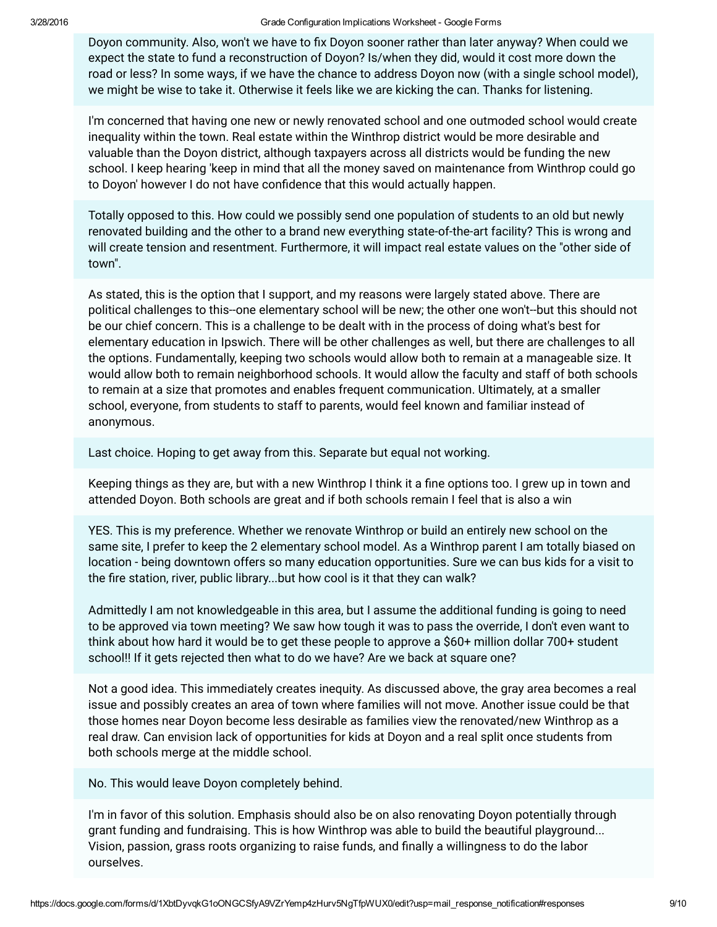Doyon community. Also, won't we have to fix Doyon sooner rather than later anyway? When could we expect the state to fund a reconstruction of Doyon? Is/when they did, would it cost more down the road or less? In some ways, if we have the chance to address Doyon now (with a single school model), we might be wise to take it. Otherwise it feels like we are kicking the can. Thanks for listening.

I'm concerned that having one new or newly renovated school and one outmoded school would create inequality within the town. Real estate within the Winthrop district would be more desirable and valuable than the Doyon district, although taxpayers across all districts would be funding the new school. I keep hearing 'keep in mind that all the money saved on maintenance from Winthrop could go to Doyon' however I do not have confidence that this would actually happen.

Totally opposed to this. How could we possibly send one population of students to an old but newly renovated building and the other to a brand new everything state-of-the-art facility? This is wrong and will create tension and resentment. Furthermore, it will impact real estate values on the "other side of town".

As stated, this is the option that I support, and my reasons were largely stated above. There are political challenges to this--one elementary school will be new; the other one won't--but this should not be our chief concern. This is a challenge to be dealt with in the process of doing what's best for elementary education in Ipswich. There will be other challenges as well, but there are challenges to all the options. Fundamentally, keeping two schools would allow both to remain at a manageable size. It would allow both to remain neighborhood schools. It would allow the faculty and staff of both schools to remain at a size that promotes and enables frequent communication. Ultimately, at a smaller school, everyone, from students to staff to parents, would feel known and familiar instead of anonymous.

Last choice. Hoping to get away from this. Separate but equal not working.

Keeping things as they are, but with a new Winthrop I think it a fine options too. I grew up in town and attended Doyon. Both schools are great and if both schools remain I feel that is also a win

YES. This is my preference. Whether we renovate Winthrop or build an entirely new school on the same site, I prefer to keep the 2 elementary school model. As a Winthrop parent I am totally biased on location - being downtown offers so many education opportunities. Sure we can bus kids for a visit to the fire station, river, public library...but how cool is it that they can walk?

Admittedly I am not knowledgeable in this area, but I assume the additional funding is going to need to be approved via town meeting? We saw how tough it was to pass the override, I don't even want to think about how hard it would be to get these people to approve a \$60+ million dollar 700+ student school!! If it gets rejected then what to do we have? Are we back at square one?

Not a good idea. This immediately creates inequity. As discussed above, the gray area becomes a real issue and possibly creates an area of town where families will not move. Another issue could be that those homes near Doyon become less desirable as families view the renovated/new Winthrop as a real draw. Can envision lack of opportunities for kids at Doyon and a real split once students from both schools merge at the middle school.

No. This would leave Doyon completely behind.

I'm in favor of this solution. Emphasis should also be on also renovating Doyon potentially through grant funding and fundraising. This is how Winthrop was able to build the beautiful playground... Vision, passion, grass roots organizing to raise funds, and finally a willingness to do the labor ourselves.